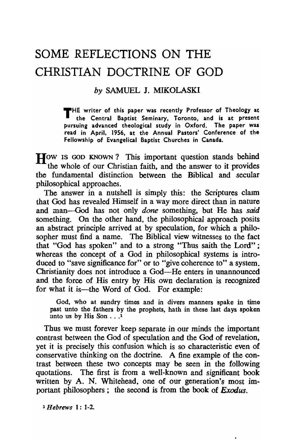## SOME REFLECTIONS ON THE CHRISTIAN DOCTRINE OF GOD

## *by* SAMUEL J. MIKOLASKI

THE writer of this paper was recently Professor of Theology at the Central Baptist Seminary. Toronto. and is at present pursuing advanced theological study in Oxford. The paper was read in April. 1956. at the Annual Pastors' Conference of the Fellowship of Evangelical Baptist Churches in Canada.

How is GOD KNOWN? This important question stands behind the whole of our Christian faith, and the answer to it provides the fundamental distinction between the Biblical and secular philosophical approaches.

The answer in a nutshell is simply this: the Scriptures claim that God has revealed Himself in a way more direct than in nature and man-God has not only *done* something, but He has *said*  something. On the other hand, the philosophical approach posits an abstract principle arrived at by speculation, for which a philosopher must find a name. The Biblical view witnesses to the fact that "God has spoken" and to a strong "Thus saith the Lord" ; whereas the concept of a God in philosophical systems is introduced to "save significance for" or to "give coherence to" a system. Christianity does not introduce a God-He enters in unannounced and the force of His entry by His own declaration is recognized for what it is—the Word of God. For example:

God, who at sundry times and in divers manners spake in time past unto the fathers by the prophets, hath in these last days spoken unto us by His Son . . .<sup>1</sup>

Thus we must forever keep separate in our minds the important contrast between the God of speculation and the God of revelation, yet it is precisely this confusion which is so characteristic even of conservative thinking on the doctrine. A fine example of the contrast between these two concepts may be seen in the following quotations. The first is from a well-known and significant book written by A. N. Whitehead, one of our generation's most important philosophers; the second is from the book of *Exodus.* 

1 *Hebrews* I: 1-2.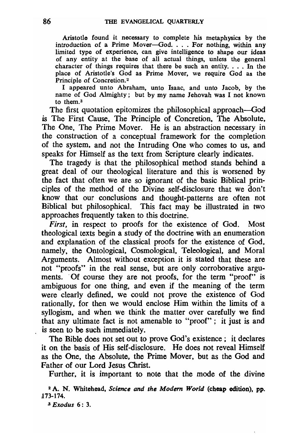Aristotle found it necessary to complete his metaphysics by the introduction of a Prime Mover-God. . . . For nothing, within any limited type of experience, can give intelligence to shape our ideas of any entity at the base of all actual things, unless the general character of things requires that there be such an entity.  $\ldots$  In the place of Aristotle's God as Prime Mover, we require God as the Principle of Concretion.2

I appeared unto Abraham, unto Isaac, and unto Iacob, by the name of God Almighty; but by my name Iehovah was I not known to them.3

The first quotation epitomizes the philosophical approach—God is The First Cause, The Principle of Concretion, The Absolute, The One, The Prime Mover. He is an abstraction necessary in the construction of a conceptual framework for the completion of the system, and not the Intruding One who comes to us, and speaks for Himself as the text from Scripture clearly indicates.

The tragedy is that the philosophical method stands behind a great deal of our theological literature and this is worsened by the fact that often we are so ignorant of the basic Biblical principles of the method of the Divine self-disclosure that we  $\hat{d}$ on't know that our conclusions and thought-patterns are often not Biblical but philosophical. This fact may be illustrated in two approaches frequently taken to this doctrine.

*First,* in respect to proofs for the existence of God. Most theological texts begin a study of the doctrine with an enumeration and explanation of the classical proofs for the existence of God, namely, the Ontological, Cosmological, Teleological, and Moral Arguments. Almost without exception it is stated that these are not "proofs" in the real sense, but are only corroborative arguments. Of course they are not proofs, for the term "proof" is ambiguous for one thing, and even if the meaning of the term were clearly defined, we could not prove the existence of God rationally, for then we would enclose Him within the limits of a syllogism, and when we think the matter over carefully we find that any ultimate fact is not amenable to "proof"; it just is and is seen to be such immediately.

The Bible does not set out to prove God's existence; it declares it on the basis of His self-disclosure. He does not reveal Himself as the One, the Absolute, the Prime Mover, but as the God and Father of our Lord Jesus Christ.

Further, it is important to note that the mode of the divine

2 A. N. Whitehead, *Science and the Modem World* (cheap edition), pp. J73-174 .

.'I *Exodus* 6: 3.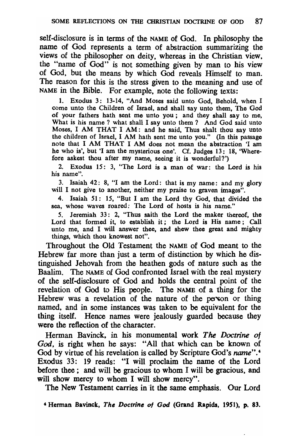self-disclosure is in terms of the NAME of God. In philosophy the name of God represents a term of abstraction summarizing the views of the philosopher on deity, whereas in the Christian view, the "name of God" is not something given by man to his view of God, but the means by which God reveals Himself to man. The reason for this is the stress given to the meaning and use of NAME in the Bible. For example, note the following texts:

1. Exodus 3: 13-14, "And Moses said unto God, Behold, when I come unto the Children of Israel, and shall say unto them, The God of your fathers hath sent me unto you; and they shall say to me, What is his name? what shall I say unto them? And God said unto Moses, I AM THAT I AM: and he said, Thus shalt thou say unto the children of Israel, I AM hath sent me unto you." (In this passage note that I AM THAT I AM does not mean the abstraction 'I am he who is', but 'I am the mysterious one'. Cf. Judges 13: 18, 'Wherefore askest thou after my name, seeing it is wonderful?')

2. Exodus 15: 3, "The Lord is a man of war: the Lord is his his name".

3. Isaiah 42: 8, "I am the Lord: that is my name: and my glory will I not give to another, neither my praise to graven images".

4. Isaiah 51: IS, "But I am the Lord thy God, that divided the sea, whose waves roared: The Lord of hosts is his name."

5. Jeremiah 33: 2, "Thus saith the Lord the maker thereof, the Lord that formed it, to establish it; the Lord is His name; Call unto me, and I will answer thee, and shew thee great and mighty things, which thou knowest not".

Throughout the Old Testament the NAME of God meant to the Hebrew far more than just a term of distinction by which he distinguished Jehovah from the heathen gods of nature such as the Baalim. The NAME of God confronted Israel with the real mystery of the self-disclosure of God and holds the central point of the revelation of God to His people. The NAME of a thing for the Hebrew was a revelation of the nature of the person or thing named, and in some instances was taken to be equivalent for the thing itself. Hence names were jealously guarded because they were the reflection of the character.

Herman Bavinck. in his monumental work *The Doctrine of God,* is right when he says: "All that which can be known of God by virtue of his revelation is called by Scripture God's *name".4*  Exodus 33: 19 reads: "I will proclaim the name of the Lord before thee; and will be gracious to whom I will be gracious, and will show mercy to whom I will show mercy".

The New Testament carries in it the same emphasis. Our Lord

4 Herman Bavinck, *The Doctrine 0/ God* (Grand Rapids, 1951), p. 83.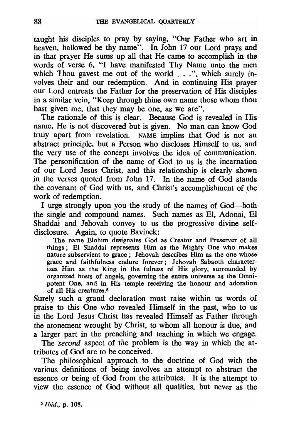taught his disciples to pray by saying. "Our Father who art in heaven, hallowed be thy name". In John 17 our Lord prays and in that prayer He sums up all that He came to accomplish in the words of verse 6. "I have manifested Thy Name unto the men which Thou gavest me out of the world . . .", which surely involves their and our redemption. And in continuing His prayer our Lord entreats the Father for the preservation of His disciples in a similar vein. "Keep through thine own name those whom thou hast given me, that they may be one, as we are".

The rationale of this is clear. Because God is revealed in His name. He is not discovered but is given. No man can know God truly apart from revelation. NAME implies that God is not an abstract principle. but a Person who discloses Himself to us. and the very use of the concept involves the idea of communication. The personification of the name of God to us is the incarnation of our Lord Jesus Christ. and this relationship is clearly shown in the verses quoted from John 17. In the name of God stands the covenant of God with us. and Christ's accomplishment of the work of redemption.

I urge strongly upon you the study of the names of God-both the single and compound names. Such names as El. Adonai. El Shaddai and Jehovah convey to us the progressive divine selfdisclosure. Again. to quote Bavinck:

The name Elohim designates God as Creator and Preserver of all things; El Shaddai represents Him as the Mighty One who makes nature subservient to grace; Iehovah describes Him as the one whose grace and faithfulness endure forever; Iehovah Sabaoth characterizes Him as the King in the fulness of His glory, surrounded by organized hosts of angels. governing the entire universe as the Omnipotent One, and in His temple receiving the honour and adoration of all His creatures.5

Surely such a grand declaration must raise within us words of praise to this One who revealed Himself in the past. who to us in the Lord Jesus Christ has revealed Himself as Father through the atonement wrought by Christ, to whom all honour is due, and a larger part in the preaching and teaching in which we engage.

The *second* aspect of the problem is the way in which the attributes of God· are to be conceived.

The philosophical approach to the doctrine of God with the various definitions of being involves an attempt to abstract the essence or being of God from the attributes. It is the attempt to view the essence of God without all qualities. but never as the

5 *I bid.,* p. 108.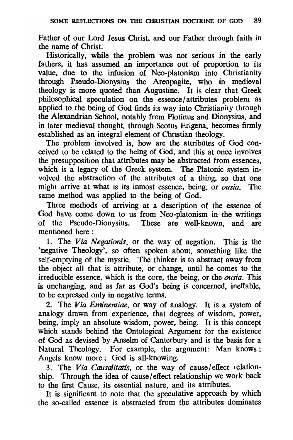Father of our Lord Jesus Christ, and our Father through faith in the name of Christ.

Historically, while the problem was not serious in the early fathers, it has assumed an importance out of proportion to its value, due to the infusion of Neo-platonism into Christianity through Pseudo-Dionysius the Areopagite, who in medieval theology is more quoted than Augustine. It is clear that Greek philosophical speculation on the essence/attributes problem as applied to the being of God finds its way into Christianity through the Alexandrian School, notably from Plotinus and Dionysius, and in later medieval thought, through Scotus Erigena, becomes firmly established as an integral element of Christian theology.

The problem involved is, how are the attributes of God conceived to be related to the being of God, and this at once involves the presupposition that attributes may be abstracted from essences, which is a legacy of the Greek system. The Platonic system involved the abstraction of the attributes of a thing, so that one might arrive at what is its inmost essence, being, or *ousia.* The same method was applied to the being of God.

Three methods of arriving at a description of the essence of God have come down to us from Neo-platonism in the writings of the Pseudo-Dionysius. These are well-known, and are mentioned here:

1. The *Via Negationis,* or the way of negation. This is the 'negative Theology', so often spoken about, something like the self-emptying of the mystic. The thinker is to abstract away from the object all that is attribute, or change, until he comes to the irreducible essence, which is the core, the being, or the *ousia.* This is unchanging, and as far as God's being is concerned, ineffable, to be expressed only in negative terms.

2. The *Via Eminentiae,* or way of analogy. It is a system of analogy drawn from experience, that degrees of wisdom, power, being, imply an absolute wisdom, power, being. It is this concept which stands behind the Ontological Argument for the existence of God as devised by Anselm of Canterbury and is the basis for a Natural Theology. For example, the argument: Man knows; Angels know more; God is all-knowing.

3. The *Via Causalitatis,* or the way of cause/effect relationship. Through the idea of cause/effect relationship we work back to the first Cause, its essential nature, and its attributes.

It is significant to note that the speculative approach by which the so-called essence is abstracted from the attributes dominates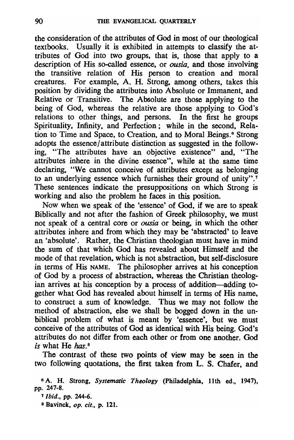the consideration of the attributes of God in most of our theological textbooks. Usually it is exhibited in attempts to classify the attributes of God into two groups, that is, those that apply to a description of His so-called essence, or *ousia.* and those involving the transitive relation of His person to creation and moral creatures. For example, A. H. Strong. among others. takes this position by dividing the attributes into Absolute or Immanent. and Relative or Transitive. The Absolute are those applying to the being of God, whereas the relative are those applying to God's relations to other things, and persons. In the first he groups Spirituality, Infinity, and Perfection; while in the second, Relation to Time and Space, to Creation, and to Moral Beings.<sup>6</sup> Strong adopts the essence/attribute distinction as suggested in the following, "The attributes have an objective existence" and, "The attributes inhere in the divine essence", while at the same time declaring, "We cannot conceive of attributes except as belonging to an underlying essence which furnishes their ground of unity".<sup>7</sup> These sentences indicate the presuppositions on which Strong is working and also the problem he faces in this position.

Now when we speak of the 'essence' of God, if we are to speak Biblically and not after the fashion of Greek philosophy, we must not speak of a central core or *ousia* or being. in which the other attributes inhere and from which they may be 'abstracted' to leave an 'absolute'. Rather, the Christian theologian must have in mind the sum of that which God has revealed about Himself and the mode of that revelation, which is not abstraction, but self-disclosure in terms of His NAME. The philosopher arrives at his conception of God by a process of abstraction, whereas the Christian theologian arrives at his conception by a process of addition-adding together what God has revealed about himself in terms of His name, to construct a sum 'of knowledge. Thus we may not follow the method of abstraction, else we shall be bogged down in the unbiblical problem of what is meant by 'essence', but we must conceive of the attributes of God as identical with His being. God's attributes do not differ from each other or from one another. God *is* what He *has.* <sup>8</sup>

The contrast of these two points of view may be seen in the two following quotations, the first taken from L. S. Chafer, and

8 Bavinck, *op. cit.,* p. 121.

<sup>&</sup>lt;sup>6</sup> A. H. Strong, *Systematic Theology* (Philadelphia, 11th ed., 1947), pp. 247-8.

<sup>T</sup>*Ibid.,* pp. 244-6.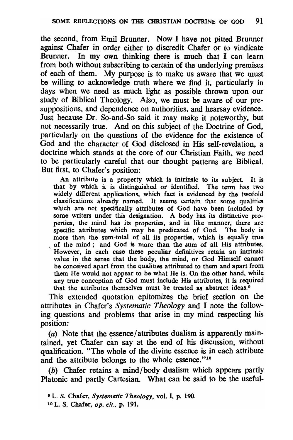the second, from Emil Brunner. Now I have not pitted Brunner against Chafer in order either to discredit Chafer or to vindicate Brunner. In my own thinking there is much that I can learn from both without subscribing to certain of the underlying premises of each of them. My purpose is to make us aware that we must be willing to acknowledge truth where we find it, particularly in days when we need as much light as possible thrown upon our study of Biblical Theology. Also, we must be aware of our presuppositions, and dependence on authorities, and hearsay evidence. Just because Dr. So-and-So said it may make it noteworthy, but not necessarily true. And on this subject of the Doctrine of God, particularly on the questions of the evidence for the existence of God and the character of God disclosed in His self-revelation, a doctrine which stands at the core of our Christian Faith, we need to be particularly careful that our thought patterns are Biblical. But first, to Chafer's position:

An attribute is a property which is intrinsic to its subject. It is that by which it is distinguished or identified. The term has two widely different applications, which fact is evidenced by the twofold classifications already named. It seems certain that some qualities which are not specifically attributes of God have been included by some writers under this designation. A body has its distinctive properties, the mind has its properties, and in like manner, there are specific attributes which may be predicated of God. The body is more than the sum-total of all its properties, which is equally true \ of the mind; and God is more than the sum of all His attributes. However, in each case these peculiar definitives retain an intrinsic value in the sense that the body, the mind, or God Himself cannot be conceived apart from the qualities attributed to them and apart from them He would not appear to be what He is. On the other hand, while any true conception of God must include His attributes, it is required that the attributes themselves must be treated as abstract ideas.<sup>9</sup>

This extended quotation epitomizes the brief section on the attributes in Chafer's *Systematic Theology* and I note the following questions and problems that arise in my mind respecting his position:

(a) Note that the essence/attributes dualism is apparently maintained, yet Chafer can say at the end of his discussion, without qualification, "The whole of the divine essence is in each attribute and the attribute belongs to the whole essence."10

(b) Chafer retains a mind/body dualism which appears partly Platonic and partly Cartesian. What can be said to be the useful-

10 L. S. Chafer, *op. cit.,* p. 191.

<sup>9</sup> L. S. Chafer, *Systematic Theology,* vot. I, p. 190.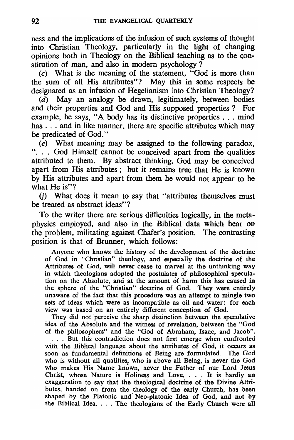ness and the implications of the infusion of such systems of thought into Christian Theology, particularly in the light of changing opinions both in Theology on the Biblical teaching as to the constitution of man, and also in modern psychology  $\tilde{?}$ 

(c) What is the meaning of the statement, "God is more than the sum of all His attributes"? May this in some respects be designated as an infusion of Hegelianism into Christian Theology?

 $(d)$  May an analogy be drawn, legitimately, between bodies and their properties and God and His supposed properties? For example, he says, "A body has its distinctive properties ... mind has . . . and in like manner, there are specific attributes which may be predicated of God."

 $\overline{e}$ ) What meaning may be assigned to the following paradox, ". . . God Himself cannot be conceived apart from the qualities attributed to them. By abstract thinking, God may be conceived apart from His attributes; but it remains true that He is known by His attributes and apart from them he would not appear to be what He is"?

(f) What does it mean to say that "attributes themselves must be treated as abstract ideas"?

To the writer there are serious difficulties logically. in the metaphysics employed. and also in the Biblical data which bear on the problem. militating against Chafer's position. The contrasting: position is that of Brunner. which follows:

Anyone who knows the history of the development of the doctrine of God in "Christian" theology, and especially the doctrine of the Attributes of God, will never cease to marvel at the unthinking way in which theologians adopted the postulates of philosophical speculation on the Absolute, and at the amount of harm this has caused in the sphere of the "Christian" doctrine of God. They were entirely unaware of the fact that this procedure was an attempt to mingle two sets of ideas which were as incompatible as oil and water: for each view was based on an entirely different conception of God.

They did not perceive the sharp distinction between the speculative idea of the Absolute and the witness of revelation, between the "God of the philosophers" and the "God of Abraham, Isaac, and Jacob". . . . But this contradiction does not first emerge when confronted

with the Biblical language about the attributes of God, it occurs as soon as fundamental definitions of Being are formulated. The God who is without all qualities, who is above all Being, is never the God who makes His Name known, never the Father of our Lord Jesus Christ, whose Nature is Holiness and Love. . . . It is hardiy an exaggeration to say that the theological doctrine of the Divine Attributes, handed on from the theology of the early Church, has been shaped by the Platonic and' Neo-platonic Idea of God, and nut by the Biblical Idea.  $\ldots$ . The theologians of the Early Church were all